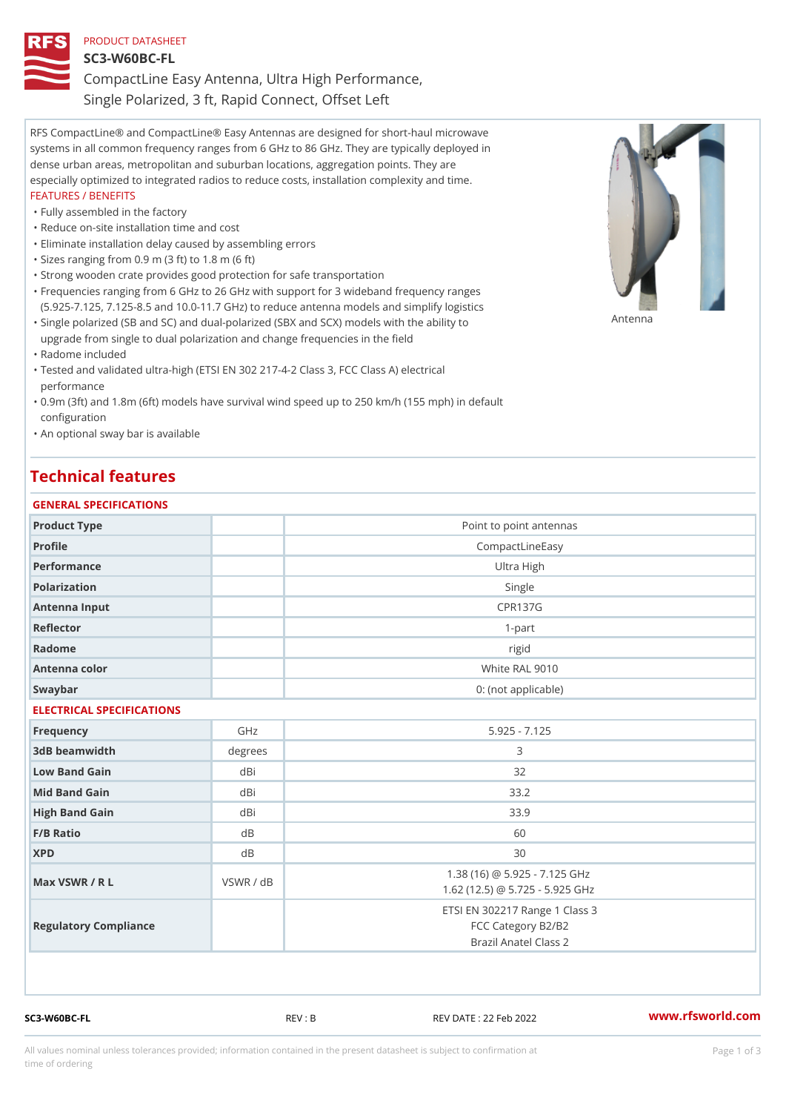## PRODUCT DATASHEET SC3-W60BC-FL CompactLine Easy Antenna, Ultra High Performance, Single Polarized, 3 ft, Rapid Connect, Offset Left

RFS CompactLine® and CompactLine® Easy Antennas are designed for short-haul microwave systems in all common frequency ranges from 6 GHz to 86 GHz. They are typically deployed in dense urban areas, metropolitan and suburban locations, aggregation points. They are especially optimized to integrated radios to reduce costs, installation complexity and time. FEATURES / BENEFITS

#### "Fully assembled in the factory

- "Reduce on-site installation time and cost
- "Eliminate installation delay caused by assembling errors
- "Sizes ranging from 0.9 m (3 ft) to 1.8 m (6 ft)
- "Strong wooden crate provides good protection for safe transportation
- Frequencies ranging from 6 GHz to 26 GHz with support for 3 wideband frequency ranges " (5.925-7.125, 7.125-8.5 and 10.0-11.7 GHz) to reduce antenna models and simplify logistics
- "Single polarized (SB and SC) and dual-polarized (SBX and SCX) models with  $P$ h $\hat{P}$   $P$ upgrade from single to dual polarization and change frequencies in the field
- "Radome included
- Tested and validated ultra-high (ETSI EN 302 217-4-2 Class 3, FCC Class A) electrical " performance
- 0.9m (3ft) and 1.8m (6ft) models have survival wind speed up to 250 km/h (155 mph) in default " configuration
- "An optional sway bar is available

### Technical features

| GENERAL SPECIFICATIONS    |           |                                                                               |
|---------------------------|-----------|-------------------------------------------------------------------------------|
| Product Type              |           | Point to point antennas                                                       |
| Profile                   |           | CompactLineEasy                                                               |
| Performance               |           | Ultra High                                                                    |
| Polarization              |           | Single                                                                        |
| Antenna Input             |           | <b>CPR137G</b>                                                                |
| Reflector                 |           | $1 - p$ art                                                                   |
| Radome                    |           | rigid                                                                         |
| Antenna color             |           | White RAL 9010                                                                |
| Swaybar                   |           | 0: (not applicable)                                                           |
| ELECTRICAL SPECIFICATIONS |           |                                                                               |
| Frequency                 | GHz       | $5.925 - 7.125$                                                               |
| 3dB beamwidth             | degree:   | 3                                                                             |
| Low Band Gain             | dBi       | 32                                                                            |
| Mid Band Gain             | dBi       | 33.2                                                                          |
| High Band Gain            | dBi       | 33.9                                                                          |
| F/B Ratio                 | d B       | 60                                                                            |
| <b>XPD</b>                | $d$ B     | 30                                                                            |
| Max VSWR / R L            | VSWR / dB | 1.38 (16) @ 5.925 - 7.125 GHz<br>1.62 (12.5) @ 5.725 - 5.925 GHz              |
| Regulatory Compliance     |           | ETSI EN 302217 Range 1 Class 3<br>FCC Category B2/B2<br>Brazil Anatel Class 2 |

SC3-W60BC-FL REV : B REV DATE : 22 Feb 2022 [www.](https://www.rfsworld.com)rfsworld.com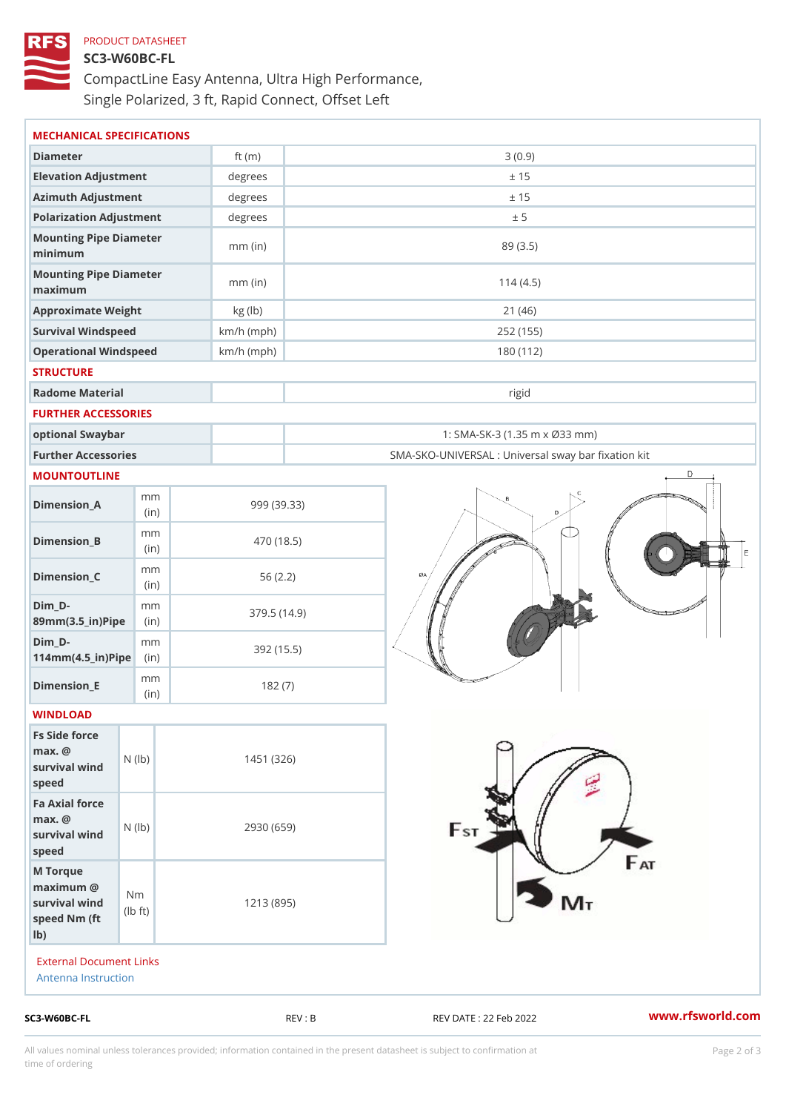# PRODUCT DATASHEET SC3-W60BC-FL CompactLine Easy Antenna, Ultra High Performance, Single Polarized, 3 ft, Rapid Connect, Offset Left

| Diameter<br>ft $(m)$<br>3(0.9)<br>Elevation Adjustment<br>degrees<br>± 15<br>Azimuth Adjustment<br>degrees<br>± 15<br>Polarization Adjustment<br>degrees<br>± 5<br>Mounting Pipe Diameter<br>$mm$ (in)<br>89 (3.5)<br>minimum<br>Mounting Pipe Diameter<br>$mm$ (in)<br>114(4.5)<br>maximum<br>Approximate Weight<br>kg (lb)<br>21(46)<br>Survival Windspeed<br>$km/h$ (mph)<br>252 (155)<br>Operational Windspeed<br>$km/h$ (mph)<br>180 (112)<br><b>STRUCTURE</b><br>Radome Material<br>rigid<br>FURTHER ACCESSORIES<br>optional Swaybar<br>1: SMA-SK-3 (1.35 m x Ø33 mm)<br>Further Accessories<br>SMA-SKO-UNIVERSAL : Universal sway bar fixation I<br>MOUNTOUTLINE<br>m m<br>$Dimen sion_A$<br>999 (39.33)<br>(in)<br>m m<br>$Dimension_B$<br>470 (18.5)<br>(in)<br>m m<br>$Dimension_C$<br>56(2.2)<br>(in)<br>$Dim_D - D -$<br>m m<br>379.5(14.9)<br>89mm (3.5_in) Pi(pine)<br>$Dim_D - D -$<br>m <sub>m</sub><br>392 (15.5)<br>$114$ m m $(4.5$ ir $)$ $\sqrt{$ ii $\sqrt{p}}$ $\ge$<br>m m<br>$Dimension$ _ $E$<br>182(7)<br>(in)<br>WINDLOAD<br>Fs Side force<br>$max.$ @<br>survival $w \nmid N$ ( $ b$ )<br>1451 (326)<br>speed<br>Fa Axial force<br>$max.$ @<br>2930 (659)<br>survival wind (1b)<br>speed<br>M Torque<br>$maximum$ @<br>N <sub>m</sub><br>survival wind<br>1213 (895)<br>l b<br>$\dagger$ t)<br>speed Nm (ft<br>$1b$ )<br>External Document Links<br>Antenna Instruction |  |  |  |
|------------------------------------------------------------------------------------------------------------------------------------------------------------------------------------------------------------------------------------------------------------------------------------------------------------------------------------------------------------------------------------------------------------------------------------------------------------------------------------------------------------------------------------------------------------------------------------------------------------------------------------------------------------------------------------------------------------------------------------------------------------------------------------------------------------------------------------------------------------------------------------------------------------------------------------------------------------------------------------------------------------------------------------------------------------------------------------------------------------------------------------------------------------------------------------------------------------------------------------------------------------------------------------------------------------------------------------------------------------------------------------------------------|--|--|--|
|                                                                                                                                                                                                                                                                                                                                                                                                                                                                                                                                                                                                                                                                                                                                                                                                                                                                                                                                                                                                                                                                                                                                                                                                                                                                                                                                                                                                      |  |  |  |
|                                                                                                                                                                                                                                                                                                                                                                                                                                                                                                                                                                                                                                                                                                                                                                                                                                                                                                                                                                                                                                                                                                                                                                                                                                                                                                                                                                                                      |  |  |  |
|                                                                                                                                                                                                                                                                                                                                                                                                                                                                                                                                                                                                                                                                                                                                                                                                                                                                                                                                                                                                                                                                                                                                                                                                                                                                                                                                                                                                      |  |  |  |
|                                                                                                                                                                                                                                                                                                                                                                                                                                                                                                                                                                                                                                                                                                                                                                                                                                                                                                                                                                                                                                                                                                                                                                                                                                                                                                                                                                                                      |  |  |  |
|                                                                                                                                                                                                                                                                                                                                                                                                                                                                                                                                                                                                                                                                                                                                                                                                                                                                                                                                                                                                                                                                                                                                                                                                                                                                                                                                                                                                      |  |  |  |
|                                                                                                                                                                                                                                                                                                                                                                                                                                                                                                                                                                                                                                                                                                                                                                                                                                                                                                                                                                                                                                                                                                                                                                                                                                                                                                                                                                                                      |  |  |  |
|                                                                                                                                                                                                                                                                                                                                                                                                                                                                                                                                                                                                                                                                                                                                                                                                                                                                                                                                                                                                                                                                                                                                                                                                                                                                                                                                                                                                      |  |  |  |
|                                                                                                                                                                                                                                                                                                                                                                                                                                                                                                                                                                                                                                                                                                                                                                                                                                                                                                                                                                                                                                                                                                                                                                                                                                                                                                                                                                                                      |  |  |  |
|                                                                                                                                                                                                                                                                                                                                                                                                                                                                                                                                                                                                                                                                                                                                                                                                                                                                                                                                                                                                                                                                                                                                                                                                                                                                                                                                                                                                      |  |  |  |
|                                                                                                                                                                                                                                                                                                                                                                                                                                                                                                                                                                                                                                                                                                                                                                                                                                                                                                                                                                                                                                                                                                                                                                                                                                                                                                                                                                                                      |  |  |  |
|                                                                                                                                                                                                                                                                                                                                                                                                                                                                                                                                                                                                                                                                                                                                                                                                                                                                                                                                                                                                                                                                                                                                                                                                                                                                                                                                                                                                      |  |  |  |
|                                                                                                                                                                                                                                                                                                                                                                                                                                                                                                                                                                                                                                                                                                                                                                                                                                                                                                                                                                                                                                                                                                                                                                                                                                                                                                                                                                                                      |  |  |  |
|                                                                                                                                                                                                                                                                                                                                                                                                                                                                                                                                                                                                                                                                                                                                                                                                                                                                                                                                                                                                                                                                                                                                                                                                                                                                                                                                                                                                      |  |  |  |
|                                                                                                                                                                                                                                                                                                                                                                                                                                                                                                                                                                                                                                                                                                                                                                                                                                                                                                                                                                                                                                                                                                                                                                                                                                                                                                                                                                                                      |  |  |  |
|                                                                                                                                                                                                                                                                                                                                                                                                                                                                                                                                                                                                                                                                                                                                                                                                                                                                                                                                                                                                                                                                                                                                                                                                                                                                                                                                                                                                      |  |  |  |
|                                                                                                                                                                                                                                                                                                                                                                                                                                                                                                                                                                                                                                                                                                                                                                                                                                                                                                                                                                                                                                                                                                                                                                                                                                                                                                                                                                                                      |  |  |  |
|                                                                                                                                                                                                                                                                                                                                                                                                                                                                                                                                                                                                                                                                                                                                                                                                                                                                                                                                                                                                                                                                                                                                                                                                                                                                                                                                                                                                      |  |  |  |
|                                                                                                                                                                                                                                                                                                                                                                                                                                                                                                                                                                                                                                                                                                                                                                                                                                                                                                                                                                                                                                                                                                                                                                                                                                                                                                                                                                                                      |  |  |  |
|                                                                                                                                                                                                                                                                                                                                                                                                                                                                                                                                                                                                                                                                                                                                                                                                                                                                                                                                                                                                                                                                                                                                                                                                                                                                                                                                                                                                      |  |  |  |
|                                                                                                                                                                                                                                                                                                                                                                                                                                                                                                                                                                                                                                                                                                                                                                                                                                                                                                                                                                                                                                                                                                                                                                                                                                                                                                                                                                                                      |  |  |  |
|                                                                                                                                                                                                                                                                                                                                                                                                                                                                                                                                                                                                                                                                                                                                                                                                                                                                                                                                                                                                                                                                                                                                                                                                                                                                                                                                                                                                      |  |  |  |
|                                                                                                                                                                                                                                                                                                                                                                                                                                                                                                                                                                                                                                                                                                                                                                                                                                                                                                                                                                                                                                                                                                                                                                                                                                                                                                                                                                                                      |  |  |  |
|                                                                                                                                                                                                                                                                                                                                                                                                                                                                                                                                                                                                                                                                                                                                                                                                                                                                                                                                                                                                                                                                                                                                                                                                                                                                                                                                                                                                      |  |  |  |
|                                                                                                                                                                                                                                                                                                                                                                                                                                                                                                                                                                                                                                                                                                                                                                                                                                                                                                                                                                                                                                                                                                                                                                                                                                                                                                                                                                                                      |  |  |  |
|                                                                                                                                                                                                                                                                                                                                                                                                                                                                                                                                                                                                                                                                                                                                                                                                                                                                                                                                                                                                                                                                                                                                                                                                                                                                                                                                                                                                      |  |  |  |

All values nominal unless tolerances provided; information contained in the present datasheet is subject to Pcapgelio an atio time of ordering